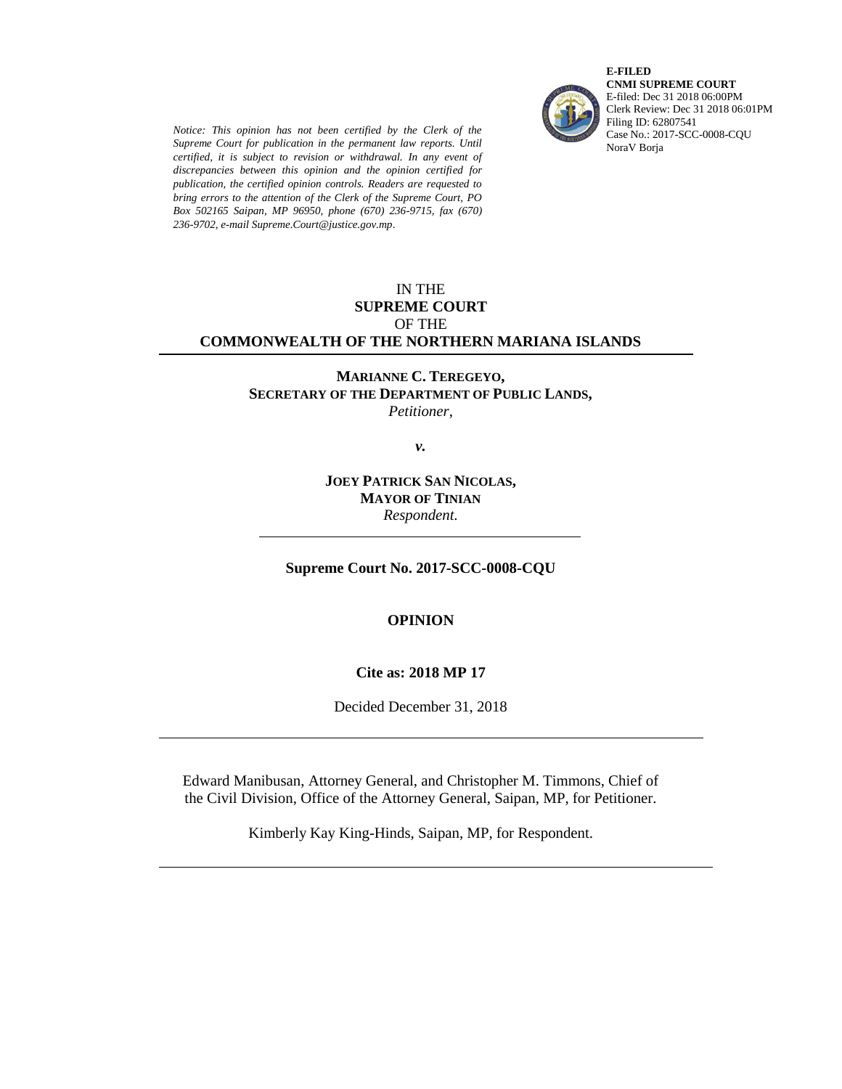*Notice: This opinion has not been certified by the Clerk of the Supreme Court for publication in the permanent law reports. Until certified, it is subject to revision or withdrawal. In any event of discrepancies between this opinion and the opinion certified for publication, the certified opinion controls. Readers are requested to bring errors to the attention of the Clerk of the Supreme Court, PO Box 502165 Saipan, MP 96950, phone (670) 236-9715, fax (670) 236-9702, e-mail Supreme.Court@justice.gov.mp*.



**E-FILED CNMI SUPREME COURT** E-filed: Dec 31 2018 06:00PM Clerk Review: Dec 31 2018 06:01PM Filing ID: 62807541 Case No.: 2017-SCC-0008-CQU NoraV Borja

### IN THE **SUPREME COURT** OF THE **COMMONWEALTH OF THE NORTHERN MARIANA ISLANDS**

**MARIANNE C. TEREGEYO, SECRETARY OF THE DEPARTMENT OF PUBLIC LANDS,** *Petitioner*,

*v.*

# **JOEY PATRICK SAN NICOLAS, MAYOR OF TINIAN** *Respondent.*

# **Supreme Court No. 2017-SCC-0008-CQU**

# **OPINION**

#### **Cite as: 2018 MP 17**

Decided December 31, 2018

Edward Manibusan, Attorney General, and Christopher M. Timmons, Chief of the Civil Division, Office of the Attorney General, Saipan, MP, for Petitioner.

Kimberly Kay King-Hinds, Saipan, MP, for Respondent.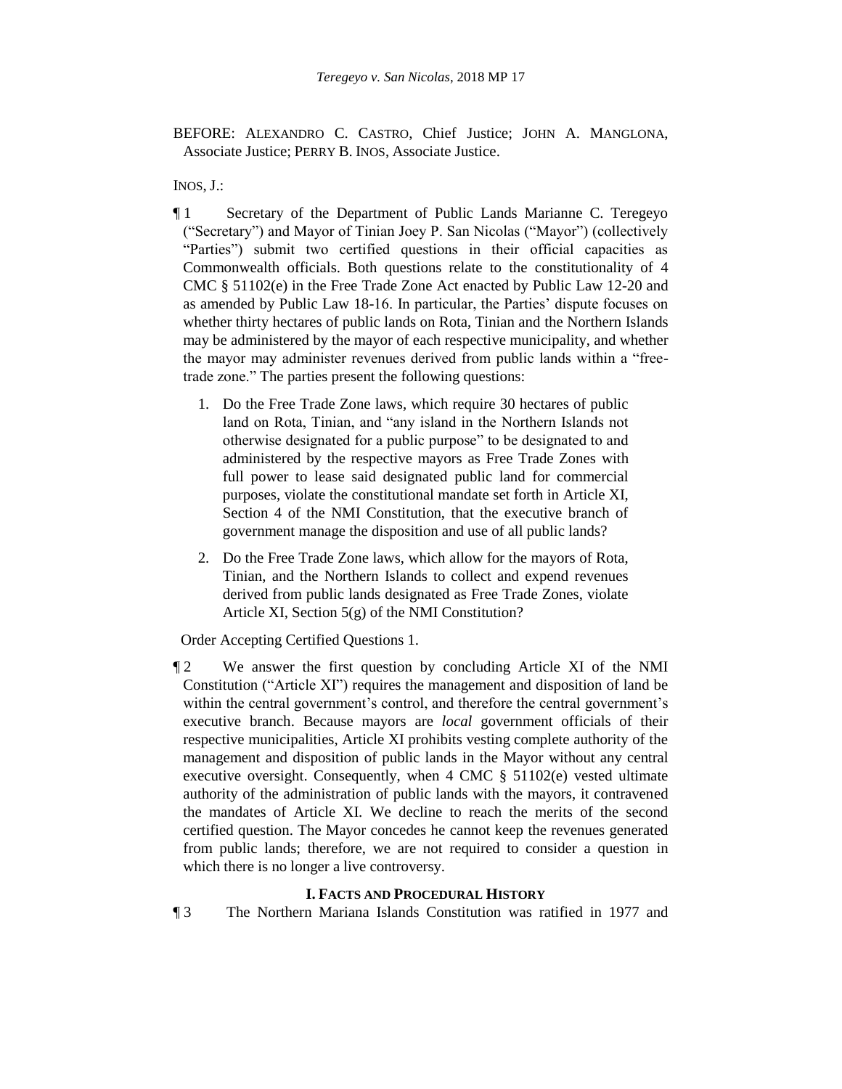BEFORE: ALEXANDRO C. CASTRO, Chief Justice; JOHN A. MANGLONA, Associate Justice; PERRY B. INOS, Associate Justice.

INOS, J.:

- ¶ 1 Secretary of the Department of Public Lands Marianne C. Teregeyo ("Secretary") and Mayor of Tinian Joey P. San Nicolas ("Mayor") (collectively "Parties") submit two certified questions in their official capacities as Commonwealth officials. Both questions relate to the constitutionality of 4 CMC § 51102(e) in the Free Trade Zone Act enacted by Public Law 12-20 and as amended by Public Law 18-16. In particular, the Parties' dispute focuses on whether thirty hectares of public lands on Rota, Tinian and the Northern Islands may be administered by the mayor of each respective municipality, and whether the mayor may administer revenues derived from public lands within a "freetrade zone." The parties present the following questions:
	- 1. Do the Free Trade Zone laws, which require 30 hectares of public land on Rota, Tinian, and "any island in the Northern Islands not otherwise designated for a public purpose" to be designated to and administered by the respective mayors as Free Trade Zones with full power to lease said designated public land for commercial purposes, violate the constitutional mandate set forth in Article XI, Section 4 of the NMI Constitution, that the executive branch of government manage the disposition and use of all public lands?
	- 2. Do the Free Trade Zone laws, which allow for the mayors of Rota, Tinian, and the Northern Islands to collect and expend revenues derived from public lands designated as Free Trade Zones, violate Article XI, Section 5(g) of the NMI Constitution?

Order Accepting Certified Questions 1.

¶ 2 We answer the first question by concluding Article XI of the NMI Constitution ("Article XI") requires the management and disposition of land be within the central government's control, and therefore the central government's executive branch. Because mayors are *local* government officials of their respective municipalities, Article XI prohibits vesting complete authority of the management and disposition of public lands in the Mayor without any central executive oversight. Consequently, when 4 CMC § 51102(e) vested ultimate authority of the administration of public lands with the mayors, it contravened the mandates of Article XI. We decline to reach the merits of the second certified question. The Mayor concedes he cannot keep the revenues generated from public lands; therefore, we are not required to consider a question in which there is no longer a live controversy.

# **I. FACTS AND PROCEDURAL HISTORY**

¶ 3 The Northern Mariana Islands Constitution was ratified in 1977 and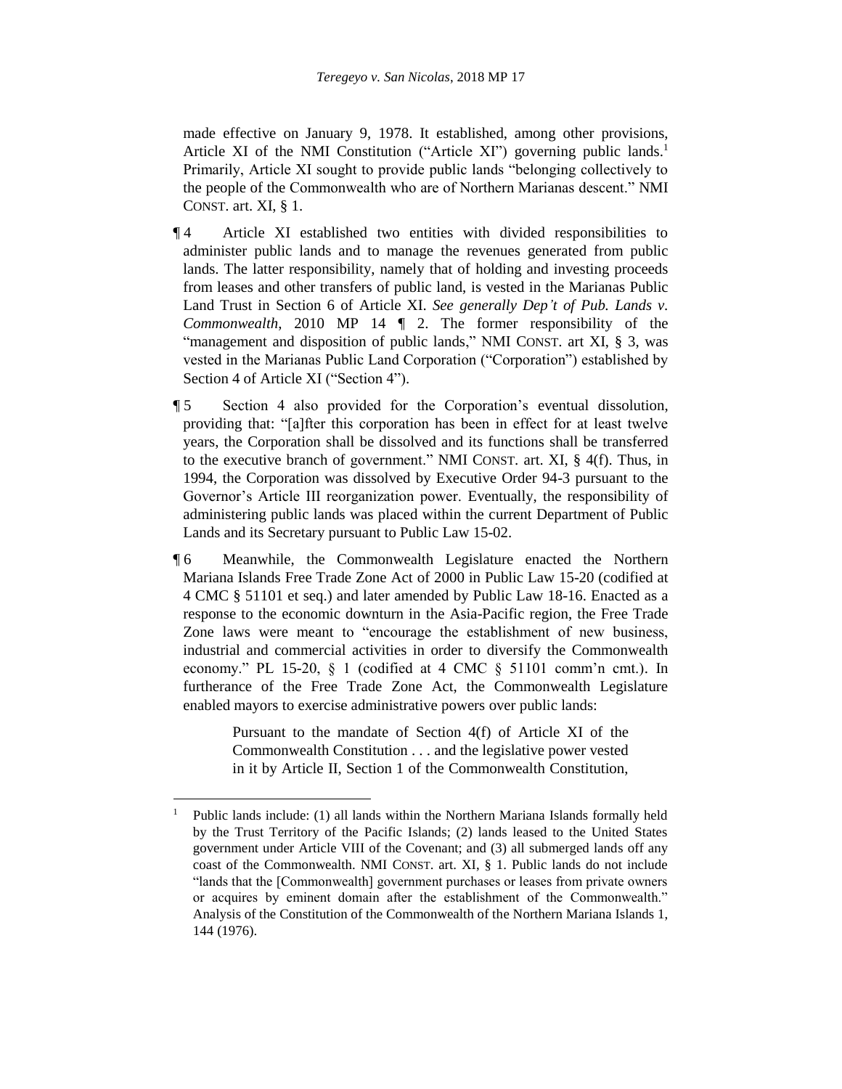made effective on January 9, 1978. It established, among other provisions, Article XI of the NMI Constitution ("Article XI") governing public lands.<sup>1</sup> Primarily, Article XI sought to provide public lands "belonging collectively to the people of the Commonwealth who are of Northern Marianas descent." NMI CONST. art. XI, § 1.

- ¶ 4 Article XI established two entities with divided responsibilities to administer public lands and to manage the revenues generated from public lands. The latter responsibility, namely that of holding and investing proceeds from leases and other transfers of public land, is vested in the Marianas Public Land Trust in Section 6 of Article XI. *See generally Dep't of Pub. Lands v. Commonwealth*, 2010 MP 14 ¶ 2. The former responsibility of the "management and disposition of public lands," NMI CONST. art XI, § 3, was vested in the Marianas Public Land Corporation ("Corporation") established by Section 4 of Article XI ("Section 4").
- ¶ 5 Section 4 also provided for the Corporation's eventual dissolution, providing that: "[a]fter this corporation has been in effect for at least twelve years, the Corporation shall be dissolved and its functions shall be transferred to the executive branch of government." NMI CONST. art. XI, § 4(f). Thus, in 1994, the Corporation was dissolved by Executive Order 94-3 pursuant to the Governor's Article III reorganization power. Eventually, the responsibility of administering public lands was placed within the current Department of Public Lands and its Secretary pursuant to Public Law 15-02.
- ¶ 6 Meanwhile, the Commonwealth Legislature enacted the Northern Mariana Islands Free Trade Zone Act of 2000 in Public Law 15-20 (codified at 4 CMC § 51101 et seq.) and later amended by Public Law 18-16. Enacted as a response to the economic downturn in the Asia-Pacific region, the Free Trade Zone laws were meant to "encourage the establishment of new business, industrial and commercial activities in order to diversify the Commonwealth economy." PL 15-20, § 1 (codified at 4 CMC § 51101 comm'n cmt.). In furtherance of the Free Trade Zone Act, the Commonwealth Legislature enabled mayors to exercise administrative powers over public lands:

Pursuant to the mandate of Section 4(f) of Article XI of the Commonwealth Constitution . . . and the legislative power vested in it by Article II, Section 1 of the Commonwealth Constitution,

l

<sup>&</sup>lt;sup>1</sup> Public lands include: (1) all lands within the Northern Mariana Islands formally held by the Trust Territory of the Pacific Islands; (2) lands leased to the United States government under Article VIII of the Covenant; and (3) all submerged lands off any coast of the Commonwealth. NMI CONST. art. XI, § 1. Public lands do not include "lands that the [Commonwealth] government purchases or leases from private owners or acquires by eminent domain after the establishment of the Commonwealth." Analysis of the Constitution of the Commonwealth of the Northern Mariana Islands 1, 144 (1976).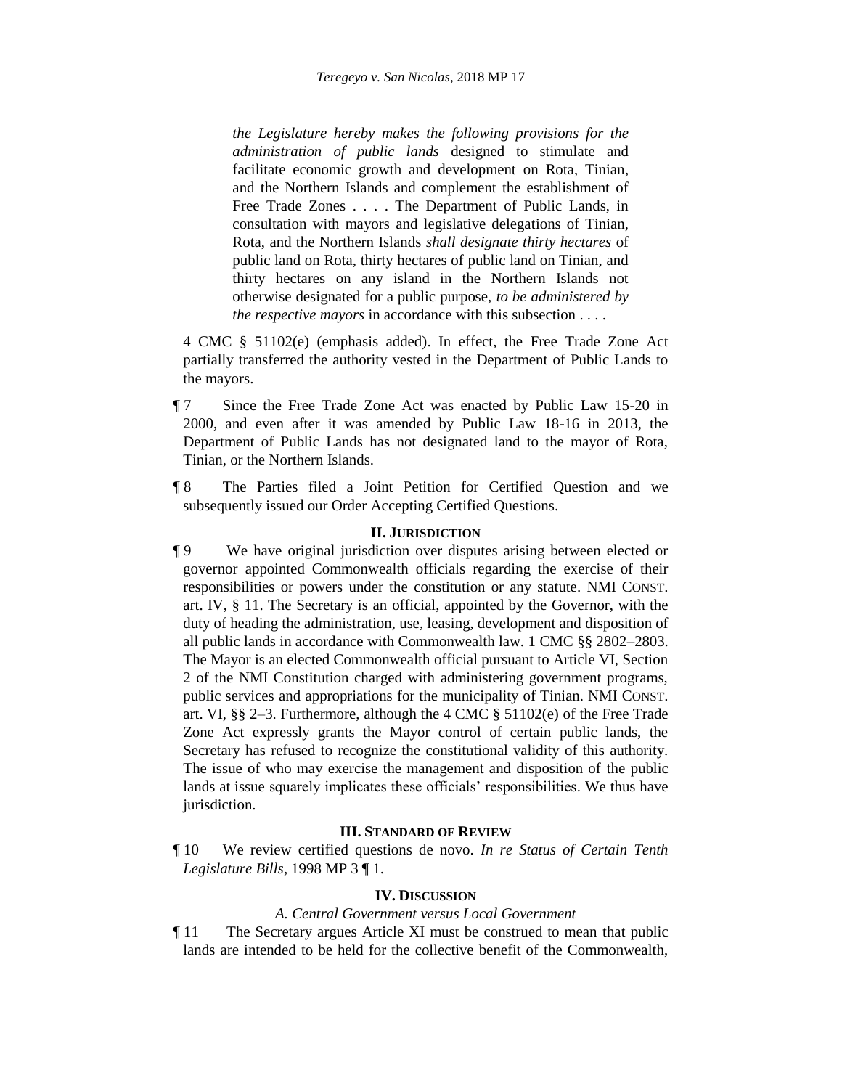*the Legislature hereby makes the following provisions for the administration of public lands* designed to stimulate and facilitate economic growth and development on Rota, Tinian, and the Northern Islands and complement the establishment of Free Trade Zones . . . . The Department of Public Lands, in consultation with mayors and legislative delegations of Tinian, Rota, and the Northern Islands *shall designate thirty hectares* of public land on Rota, thirty hectares of public land on Tinian, and thirty hectares on any island in the Northern Islands not otherwise designated for a public purpose, *to be administered by the respective mayors* in accordance with this subsection . . . .

4 CMC § 51102(e) (emphasis added). In effect, the Free Trade Zone Act partially transferred the authority vested in the Department of Public Lands to the mayors.

- ¶ 7 Since the Free Trade Zone Act was enacted by Public Law 15-20 in 2000, and even after it was amended by Public Law 18-16 in 2013, the Department of Public Lands has not designated land to the mayor of Rota, Tinian, or the Northern Islands.
- ¶ 8 The Parties filed a Joint Petition for Certified Question and we subsequently issued our Order Accepting Certified Questions.

### **II. JURISDICTION**

¶ 9 We have original jurisdiction over disputes arising between elected or governor appointed Commonwealth officials regarding the exercise of their responsibilities or powers under the constitution or any statute. NMI CONST. art. IV, § 11. The Secretary is an official, appointed by the Governor, with the duty of heading the administration, use, leasing, development and disposition of all public lands in accordance with Commonwealth law. 1 CMC §§ 2802–2803. The Mayor is an elected Commonwealth official pursuant to Article VI, Section 2 of the NMI Constitution charged with administering government programs, public services and appropriations for the municipality of Tinian. NMI CONST. art. VI, §§ 2–3. Furthermore, although the 4 CMC § 51102(e) of the Free Trade Zone Act expressly grants the Mayor control of certain public lands, the Secretary has refused to recognize the constitutional validity of this authority. The issue of who may exercise the management and disposition of the public lands at issue squarely implicates these officials' responsibilities. We thus have jurisdiction.

### **III. STANDARD OF REVIEW**

¶ 10 We review certified questions de novo. *In re Status of Certain Tenth Legislature Bills*, 1998 MP 3 ¶ 1.

#### **IV. DISCUSSION**

#### *A. Central Government versus Local Government*

¶ 11 The Secretary argues Article XI must be construed to mean that public lands are intended to be held for the collective benefit of the Commonwealth,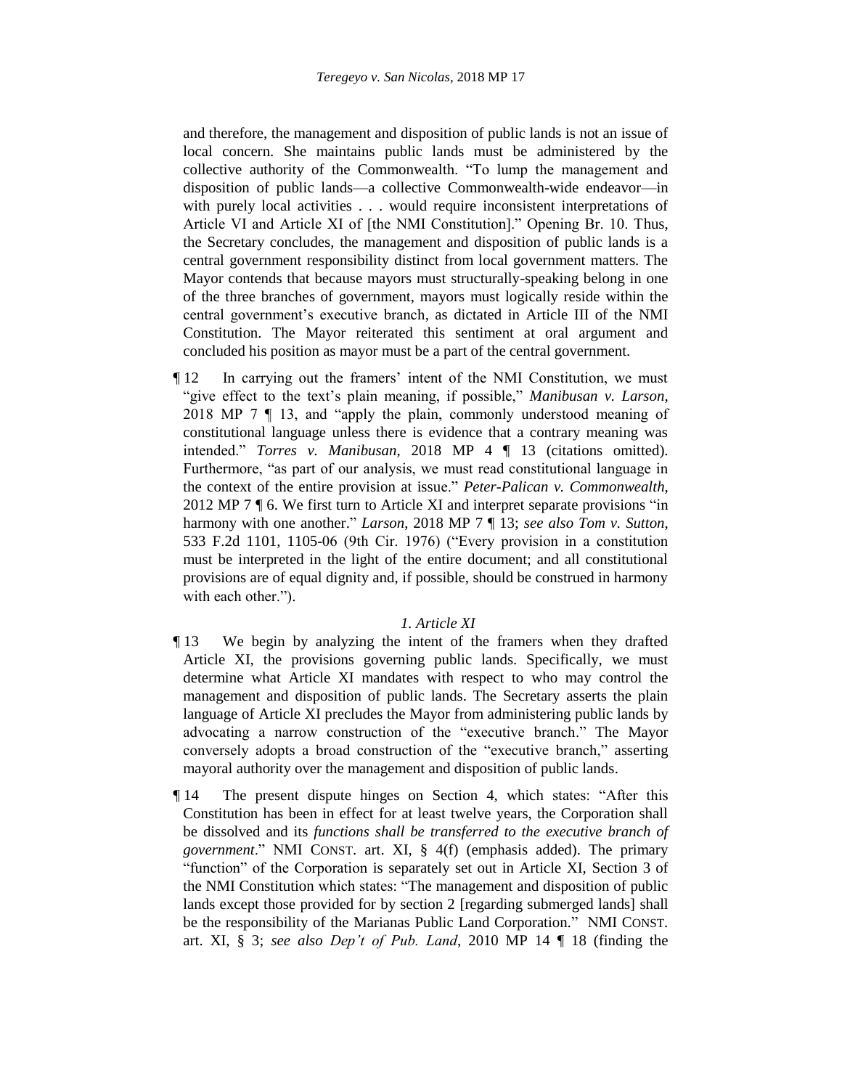and therefore, the management and disposition of public lands is not an issue of local concern. She maintains public lands must be administered by the collective authority of the Commonwealth. "To lump the management and disposition of public lands—a collective Commonwealth-wide endeavor—in with purely local activities . . . would require inconsistent interpretations of Article VI and Article XI of [the NMI Constitution]." Opening Br. 10. Thus, the Secretary concludes, the management and disposition of public lands is a central government responsibility distinct from local government matters. The Mayor contends that because mayors must structurally-speaking belong in one of the three branches of government, mayors must logically reside within the central government's executive branch, as dictated in Article III of the NMI Constitution. The Mayor reiterated this sentiment at oral argument and concluded his position as mayor must be a part of the central government.

¶ 12 In carrying out the framers' intent of the NMI Constitution, we must "give effect to the text's plain meaning, if possible," *Manibusan v. Larson*, 2018 MP 7 ¶ 13, and "apply the plain, commonly understood meaning of constitutional language unless there is evidence that a contrary meaning was intended." *Torres v. Manibusan*, 2018 MP 4 ¶ 13 (citations omitted). Furthermore, "as part of our analysis, we must read constitutional language in the context of the entire provision at issue." *Peter-Palican v. Commonwealth*, 2012 MP 7 ¶ 6. We first turn to Article XI and interpret separate provisions "in harmony with one another." *Larson*, 2018 MP 7 ¶ 13; *see also Tom v. Sutton*, 533 F.2d 1101, 1105-06 (9th Cir. 1976) ("Every provision in a constitution must be interpreted in the light of the entire document; and all constitutional provisions are of equal dignity and, if possible, should be construed in harmony with each other.").

#### *1. Article XI*

- ¶ 13 We begin by analyzing the intent of the framers when they drafted Article XI, the provisions governing public lands. Specifically, we must determine what Article XI mandates with respect to who may control the management and disposition of public lands. The Secretary asserts the plain language of Article XI precludes the Mayor from administering public lands by advocating a narrow construction of the "executive branch." The Mayor conversely adopts a broad construction of the "executive branch," asserting mayoral authority over the management and disposition of public lands.
- ¶ 14 The present dispute hinges on Section 4, which states: "After this Constitution has been in effect for at least twelve years, the Corporation shall be dissolved and its *functions shall be transferred to the executive branch of government*." NMI CONST. art. XI, § 4(f) (emphasis added). The primary "function" of the Corporation is separately set out in Article XI, Section 3 of the NMI Constitution which states: "The management and disposition of public lands except those provided for by section 2 [regarding submerged lands] shall be the responsibility of the Marianas Public Land Corporation." NMI CONST. art. XI, § 3; *see also Dep't of Pub. Land*, 2010 MP 14 ¶ 18 (finding the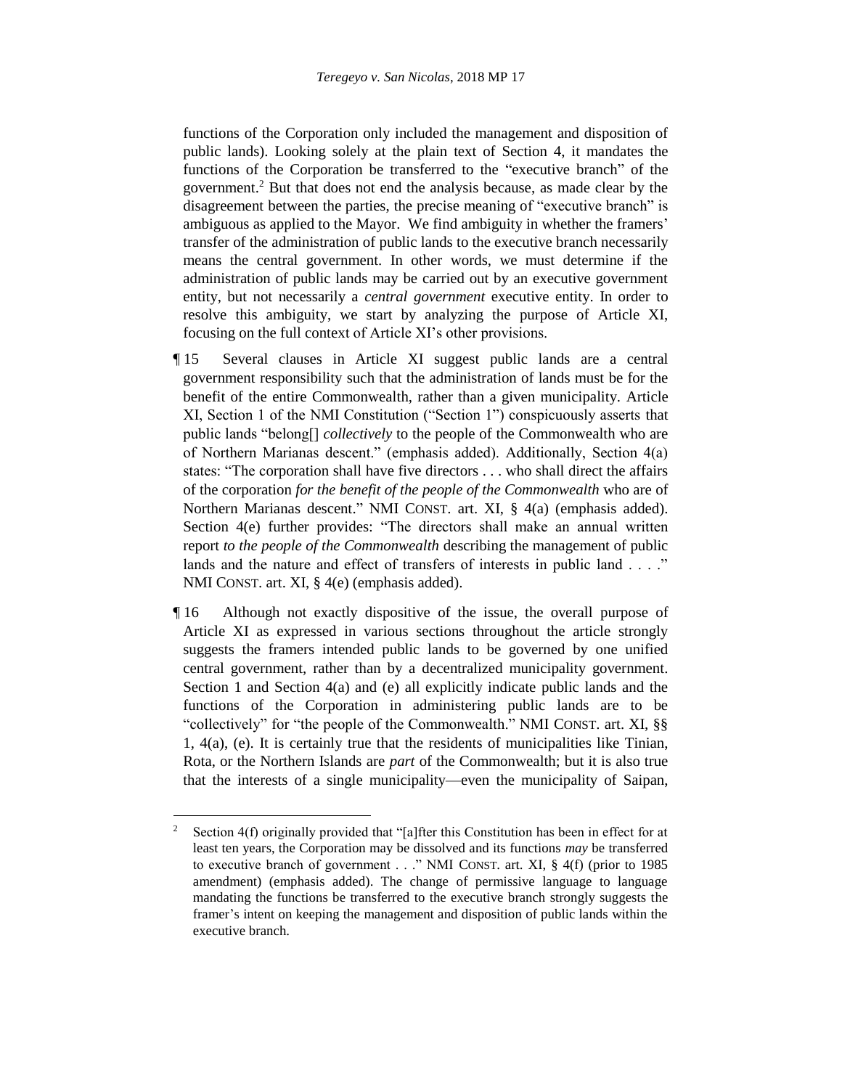functions of the Corporation only included the management and disposition of public lands). Looking solely at the plain text of Section 4, it mandates the functions of the Corporation be transferred to the "executive branch" of the government.<sup>2</sup> But that does not end the analysis because, as made clear by the disagreement between the parties, the precise meaning of "executive branch" is ambiguous as applied to the Mayor. We find ambiguity in whether the framers' transfer of the administration of public lands to the executive branch necessarily means the central government. In other words, we must determine if the administration of public lands may be carried out by an executive government entity, but not necessarily a *central government* executive entity. In order to resolve this ambiguity, we start by analyzing the purpose of Article XI, focusing on the full context of Article XI's other provisions.

- ¶ 15 Several clauses in Article XI suggest public lands are a central government responsibility such that the administration of lands must be for the benefit of the entire Commonwealth, rather than a given municipality. Article XI, Section 1 of the NMI Constitution ("Section 1") conspicuously asserts that public lands "belong[] *collectively* to the people of the Commonwealth who are of Northern Marianas descent." (emphasis added). Additionally, Section 4(a) states: "The corporation shall have five directors . . . who shall direct the affairs of the corporation *for the benefit of the people of the Commonwealth* who are of Northern Marianas descent." NMI CONST. art. XI, § 4(a) (emphasis added). Section 4(e) further provides: "The directors shall make an annual written report *to the people of the Commonwealth* describing the management of public lands and the nature and effect of transfers of interests in public land . . . ." NMI CONST. art. XI, § 4(e) (emphasis added).
- ¶ 16 Although not exactly dispositive of the issue, the overall purpose of Article XI as expressed in various sections throughout the article strongly suggests the framers intended public lands to be governed by one unified central government, rather than by a decentralized municipality government. Section 1 and Section 4(a) and (e) all explicitly indicate public lands and the functions of the Corporation in administering public lands are to be "collectively" for "the people of the Commonwealth." NMI CONST. art. XI, §§ 1, 4(a), (e). It is certainly true that the residents of municipalities like Tinian, Rota, or the Northern Islands are *part* of the Commonwealth; but it is also true that the interests of a single municipality—even the municipality of Saipan,

 $\overline{\phantom{a}}$ 

<sup>&</sup>lt;sup>2</sup> Section 4(f) originally provided that "[a]fter this Constitution has been in effect for at least ten years, the Corporation may be dissolved and its functions *may* be transferred to executive branch of government . . ." NMI CONST. art. XI, § 4(f) (prior to 1985 amendment) (emphasis added). The change of permissive language to language mandating the functions be transferred to the executive branch strongly suggests the framer's intent on keeping the management and disposition of public lands within the executive branch.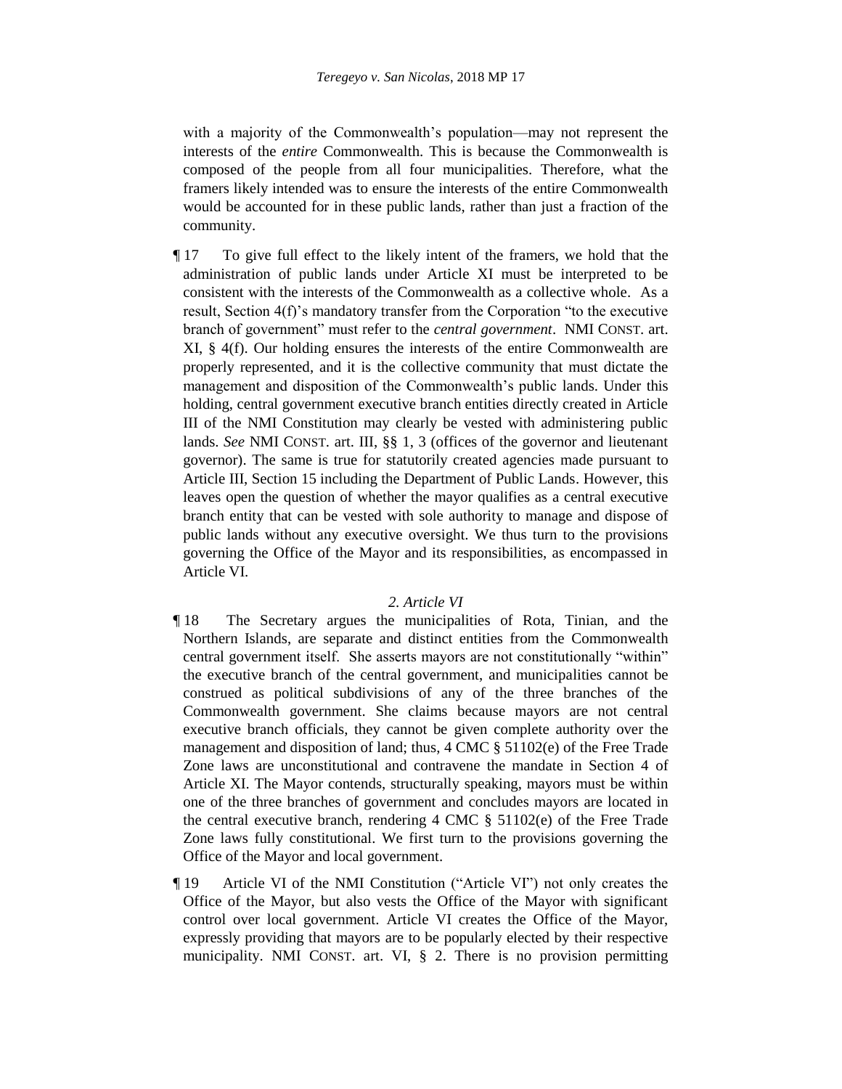with a majority of the Commonwealth's population—may not represent the interests of the *entire* Commonwealth. This is because the Commonwealth is composed of the people from all four municipalities. Therefore, what the framers likely intended was to ensure the interests of the entire Commonwealth would be accounted for in these public lands, rather than just a fraction of the community.

¶ 17 To give full effect to the likely intent of the framers, we hold that the administration of public lands under Article XI must be interpreted to be consistent with the interests of the Commonwealth as a collective whole. As a result, Section 4(f)'s mandatory transfer from the Corporation "to the executive branch of government" must refer to the *central government*. NMI CONST. art. XI, § 4(f). Our holding ensures the interests of the entire Commonwealth are properly represented, and it is the collective community that must dictate the management and disposition of the Commonwealth's public lands. Under this holding, central government executive branch entities directly created in Article III of the NMI Constitution may clearly be vested with administering public lands. *See* NMI CONST. art. III, §§ 1, 3 (offices of the governor and lieutenant governor). The same is true for statutorily created agencies made pursuant to Article III, Section 15 including the Department of Public Lands. However, this leaves open the question of whether the mayor qualifies as a central executive branch entity that can be vested with sole authority to manage and dispose of public lands without any executive oversight. We thus turn to the provisions governing the Office of the Mayor and its responsibilities, as encompassed in Article VI.

#### *2. Article VI*

- ¶ 18 The Secretary argues the municipalities of Rota, Tinian, and the Northern Islands, are separate and distinct entities from the Commonwealth central government itself. She asserts mayors are not constitutionally "within" the executive branch of the central government, and municipalities cannot be construed as political subdivisions of any of the three branches of the Commonwealth government. She claims because mayors are not central executive branch officials, they cannot be given complete authority over the management and disposition of land; thus, 4 CMC § 51102(e) of the Free Trade Zone laws are unconstitutional and contravene the mandate in Section 4 of Article XI. The Mayor contends, structurally speaking, mayors must be within one of the three branches of government and concludes mayors are located in the central executive branch, rendering 4 CMC § 51102(e) of the Free Trade Zone laws fully constitutional. We first turn to the provisions governing the Office of the Mayor and local government.
- ¶ 19 Article VI of the NMI Constitution ("Article VI") not only creates the Office of the Mayor, but also vests the Office of the Mayor with significant control over local government. Article VI creates the Office of the Mayor, expressly providing that mayors are to be popularly elected by their respective municipality. NMI CONST. art. VI, § 2. There is no provision permitting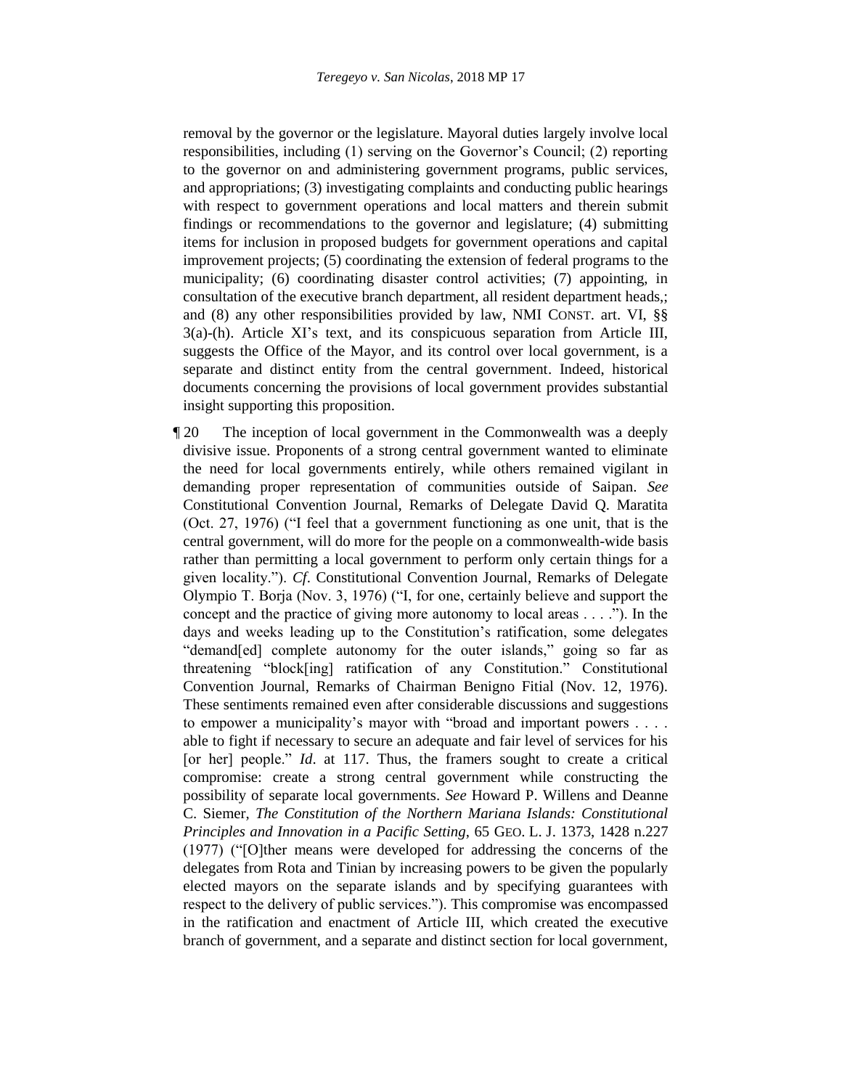removal by the governor or the legislature. Mayoral duties largely involve local responsibilities, including (1) serving on the Governor's Council; (2) reporting to the governor on and administering government programs, public services, and appropriations; (3) investigating complaints and conducting public hearings with respect to government operations and local matters and therein submit findings or recommendations to the governor and legislature; (4) submitting items for inclusion in proposed budgets for government operations and capital improvement projects; (5) coordinating the extension of federal programs to the municipality; (6) coordinating disaster control activities; (7) appointing, in consultation of the executive branch department, all resident department heads,; and (8) any other responsibilities provided by law, NMI CONST. art. VI, §§ 3(a)-(h). Article XI's text, and its conspicuous separation from Article III, suggests the Office of the Mayor, and its control over local government, is a separate and distinct entity from the central government. Indeed, historical documents concerning the provisions of local government provides substantial insight supporting this proposition.

¶ 20 The inception of local government in the Commonwealth was a deeply divisive issue. Proponents of a strong central government wanted to eliminate the need for local governments entirely, while others remained vigilant in demanding proper representation of communities outside of Saipan. *See* Constitutional Convention Journal, Remarks of Delegate David Q. Maratita (Oct. 27, 1976) ("I feel that a government functioning as one unit, that is the central government, will do more for the people on a commonwealth-wide basis rather than permitting a local government to perform only certain things for a given locality."). *Cf*. Constitutional Convention Journal, Remarks of Delegate Olympio T. Borja (Nov. 3, 1976) ("I, for one, certainly believe and support the concept and the practice of giving more autonomy to local areas . . . ."). In the days and weeks leading up to the Constitution's ratification, some delegates "demand[ed] complete autonomy for the outer islands," going so far as threatening "block[ing] ratification of any Constitution." Constitutional Convention Journal, Remarks of Chairman Benigno Fitial (Nov. 12, 1976). These sentiments remained even after considerable discussions and suggestions to empower a municipality's mayor with "broad and important powers . . . . able to fight if necessary to secure an adequate and fair level of services for his [or her] people." *Id.* at 117. Thus, the framers sought to create a critical compromise: create a strong central government while constructing the possibility of separate local governments. *See* Howard P. Willens and Deanne C. Siemer, *The Constitution of the Northern Mariana Islands: Constitutional Principles and Innovation in a Pacific Setting*, 65 GEO. L. J. 1373, 1428 n.227 (1977) ("[O]ther means were developed for addressing the concerns of the delegates from Rota and Tinian by increasing powers to be given the popularly elected mayors on the separate islands and by specifying guarantees with respect to the delivery of public services."). This compromise was encompassed in the ratification and enactment of Article III, which created the executive branch of government, and a separate and distinct section for local government,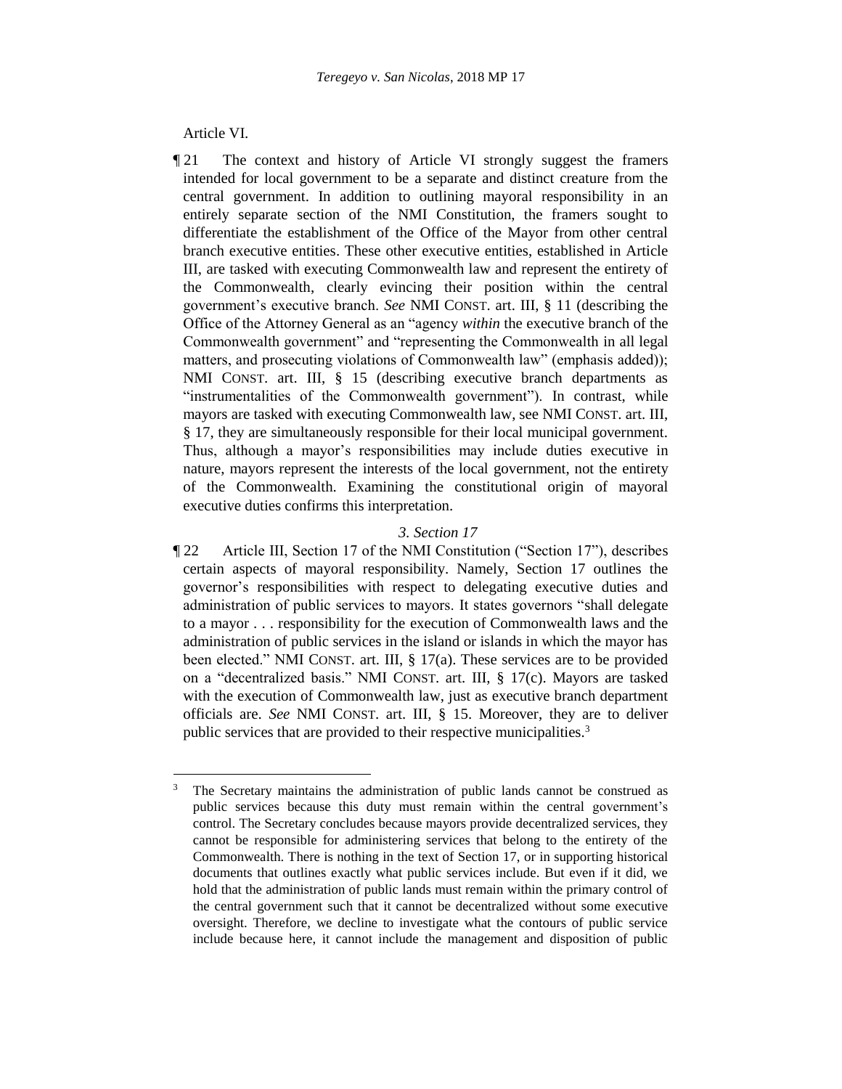Article VI.

l

¶ 21 The context and history of Article VI strongly suggest the framers intended for local government to be a separate and distinct creature from the central government. In addition to outlining mayoral responsibility in an entirely separate section of the NMI Constitution, the framers sought to differentiate the establishment of the Office of the Mayor from other central branch executive entities. These other executive entities, established in Article III, are tasked with executing Commonwealth law and represent the entirety of the Commonwealth, clearly evincing their position within the central government's executive branch. *See* NMI CONST. art. III, § 11 (describing the Office of the Attorney General as an "agency *within* the executive branch of the Commonwealth government" and "representing the Commonwealth in all legal matters, and prosecuting violations of Commonwealth law" (emphasis added)); NMI CONST. art. III, § 15 (describing executive branch departments as "instrumentalities of the Commonwealth government"). In contrast, while mayors are tasked with executing Commonwealth law, see NMI CONST. art. III, § 17, they are simultaneously responsible for their local municipal government. Thus, although a mayor's responsibilities may include duties executive in nature, mayors represent the interests of the local government, not the entirety of the Commonwealth. Examining the constitutional origin of mayoral executive duties confirms this interpretation.

#### *3. Section 17*

¶ 22 Article III, Section 17 of the NMI Constitution ("Section 17"), describes certain aspects of mayoral responsibility. Namely, Section 17 outlines the governor's responsibilities with respect to delegating executive duties and administration of public services to mayors. It states governors "shall delegate to a mayor . . . responsibility for the execution of Commonwealth laws and the administration of public services in the island or islands in which the mayor has been elected." NMI CONST. art. III, § 17(a). These services are to be provided on a "decentralized basis." NMI CONST. art. III, § 17(c). Mayors are tasked with the execution of Commonwealth law, just as executive branch department officials are. *See* NMI CONST. art. III, § 15. Moreover, they are to deliver public services that are provided to their respective municipalities.<sup>3</sup>

<sup>&</sup>lt;sup>3</sup> The Secretary maintains the administration of public lands cannot be construed as public services because this duty must remain within the central government's control. The Secretary concludes because mayors provide decentralized services, they cannot be responsible for administering services that belong to the entirety of the Commonwealth. There is nothing in the text of Section 17, or in supporting historical documents that outlines exactly what public services include. But even if it did, we hold that the administration of public lands must remain within the primary control of the central government such that it cannot be decentralized without some executive oversight. Therefore, we decline to investigate what the contours of public service include because here, it cannot include the management and disposition of public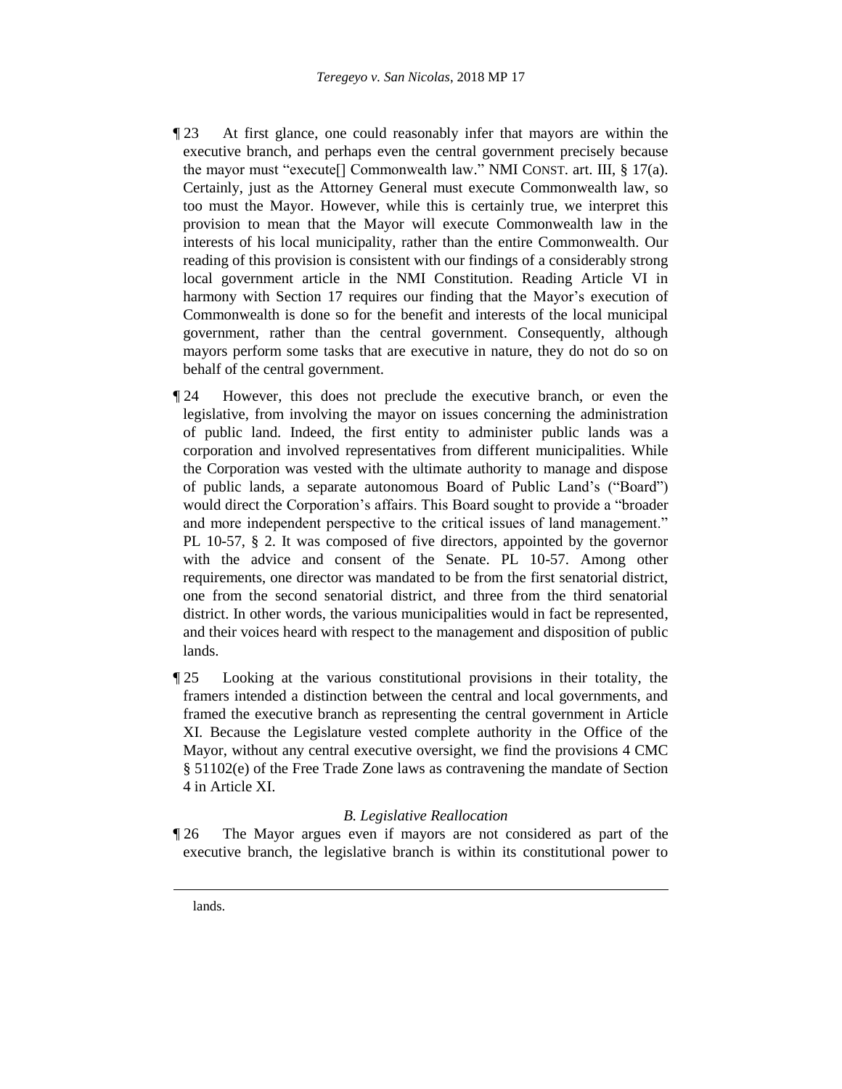- ¶ 23 At first glance, one could reasonably infer that mayors are within the executive branch, and perhaps even the central government precisely because the mayor must "execute[] Commonwealth law." NMI CONST. art. III, § 17(a). Certainly, just as the Attorney General must execute Commonwealth law, so too must the Mayor. However, while this is certainly true, we interpret this provision to mean that the Mayor will execute Commonwealth law in the interests of his local municipality, rather than the entire Commonwealth. Our reading of this provision is consistent with our findings of a considerably strong local government article in the NMI Constitution. Reading Article VI in harmony with Section 17 requires our finding that the Mayor's execution of Commonwealth is done so for the benefit and interests of the local municipal government, rather than the central government. Consequently, although mayors perform some tasks that are executive in nature, they do not do so on behalf of the central government.
- ¶ 24 However, this does not preclude the executive branch, or even the legislative, from involving the mayor on issues concerning the administration of public land. Indeed, the first entity to administer public lands was a corporation and involved representatives from different municipalities. While the Corporation was vested with the ultimate authority to manage and dispose of public lands, a separate autonomous Board of Public Land's ("Board") would direct the Corporation's affairs. This Board sought to provide a "broader and more independent perspective to the critical issues of land management." PL 10-57, § 2. It was composed of five directors, appointed by the governor with the advice and consent of the Senate. PL 10-57. Among other requirements, one director was mandated to be from the first senatorial district, one from the second senatorial district, and three from the third senatorial district. In other words, the various municipalities would in fact be represented, and their voices heard with respect to the management and disposition of public lands.
- ¶ 25 Looking at the various constitutional provisions in their totality, the framers intended a distinction between the central and local governments, and framed the executive branch as representing the central government in Article XI. Because the Legislature vested complete authority in the Office of the Mayor, without any central executive oversight, we find the provisions 4 CMC § 51102(e) of the Free Trade Zone laws as contravening the mandate of Section 4 in Article XI.

# *B. Legislative Reallocation*

¶ 26 The Mayor argues even if mayors are not considered as part of the executive branch, the legislative branch is within its constitutional power to

 $\overline{\phantom{a}}$ 

lands.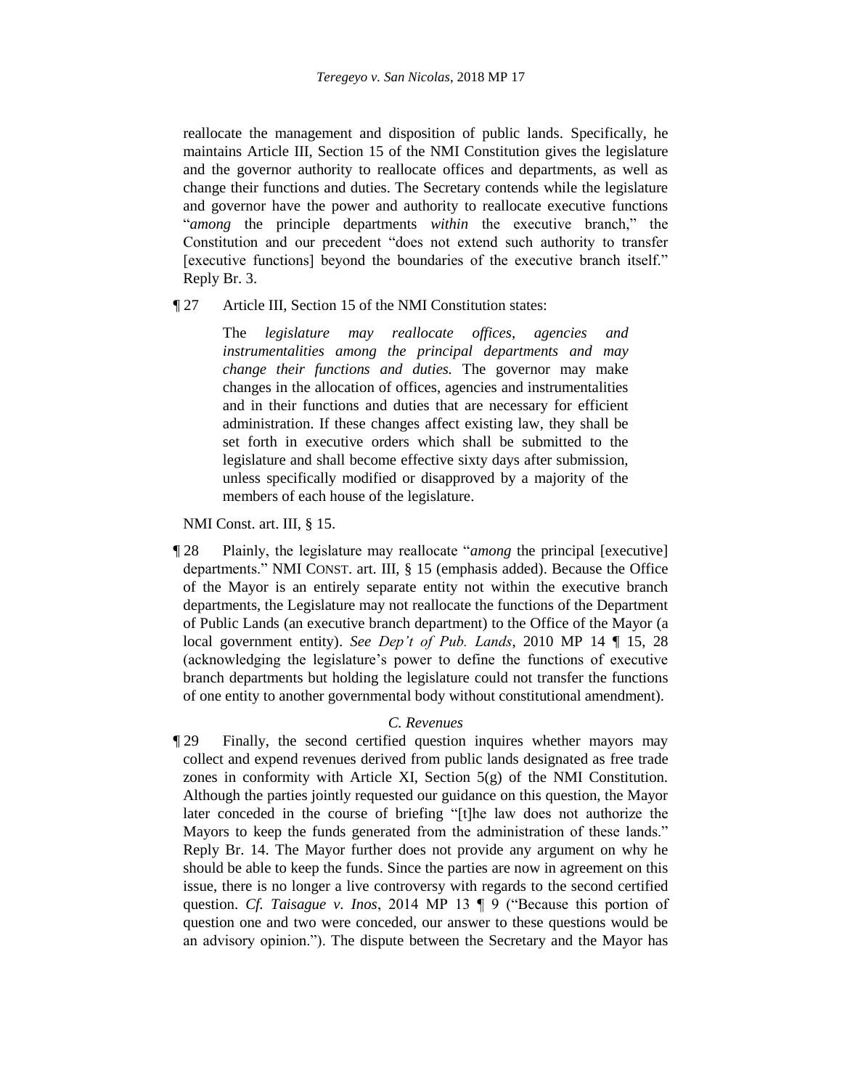reallocate the management and disposition of public lands. Specifically, he maintains Article III, Section 15 of the NMI Constitution gives the legislature and the governor authority to reallocate offices and departments, as well as change their functions and duties. The Secretary contends while the legislature and governor have the power and authority to reallocate executive functions "*among* the principle departments *within* the executive branch," the Constitution and our precedent "does not extend such authority to transfer [executive functions] beyond the boundaries of the executive branch itself." Reply Br. 3.

¶ 27 Article III, Section 15 of the NMI Constitution states:

The *legislature may reallocate offices, agencies and instrumentalities among the principal departments and may change their functions and duties.* The governor may make changes in the allocation of offices, agencies and instrumentalities and in their functions and duties that are necessary for efficient administration. If these changes affect existing law, they shall be set forth in executive orders which shall be submitted to the legislature and shall become effective sixty days after submission, unless specifically modified or disapproved by a majority of the members of each house of the legislature.

NMI Const. art. III, § 15.

¶ 28 Plainly, the legislature may reallocate "*among* the principal [executive] departments." NMI CONST. art. III, § 15 (emphasis added). Because the Office of the Mayor is an entirely separate entity not within the executive branch departments, the Legislature may not reallocate the functions of the Department of Public Lands (an executive branch department) to the Office of the Mayor (a local government entity). *See Dep't of Pub. Lands*, 2010 MP 14 ¶ 15, 28 (acknowledging the legislature's power to define the functions of executive branch departments but holding the legislature could not transfer the functions of one entity to another governmental body without constitutional amendment).

#### *C. Revenues*

¶ 29 Finally, the second certified question inquires whether mayors may collect and expend revenues derived from public lands designated as free trade zones in conformity with Article XI, Section 5(g) of the NMI Constitution. Although the parties jointly requested our guidance on this question, the Mayor later conceded in the course of briefing "[t]he law does not authorize the Mayors to keep the funds generated from the administration of these lands." Reply Br. 14. The Mayor further does not provide any argument on why he should be able to keep the funds. Since the parties are now in agreement on this issue, there is no longer a live controversy with regards to the second certified question. *Cf. Taisague v. Inos*, 2014 MP 13 ¶ 9 ("Because this portion of question one and two were conceded, our answer to these questions would be an advisory opinion."). The dispute between the Secretary and the Mayor has